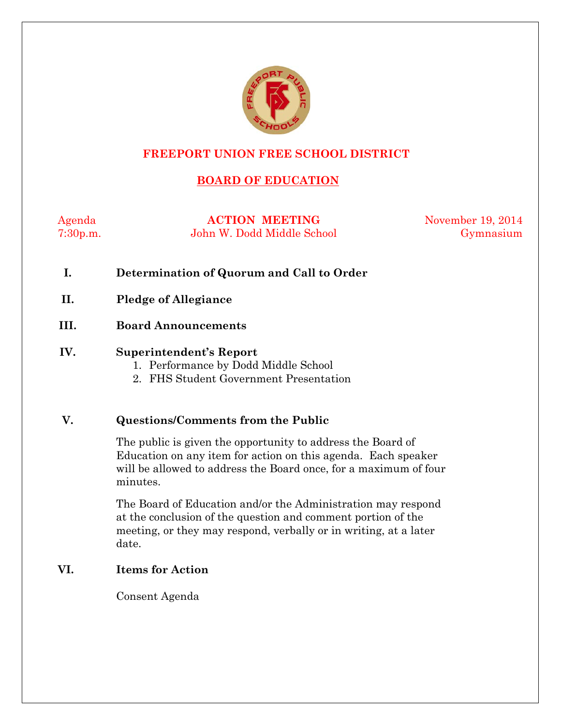

#### **FREEPORT UNION FREE SCHOOL DISTRICT**

## **BOARD OF EDUCATION**

Agenda **ACTION MEETING** November 19, 2014 7:30p.m. John W. Dodd Middle School Gymnasium

- **I. Determination of Quorum and Call to Order**
- **II. Pledge of Allegiance**
- **III. Board Announcements**

#### **IV. Superintendent's Report**

- 1. Performance by Dodd Middle School
- 2. FHS Student Government Presentation

#### **V. Questions/Comments from the Public**

The public is given the opportunity to address the Board of Education on any item for action on this agenda. Each speaker will be allowed to address the Board once, for a maximum of four minutes.

The Board of Education and/or the Administration may respond at the conclusion of the question and comment portion of the meeting, or they may respond, verbally or in writing, at a later date.

#### **VI. Items for Action**

Consent Agenda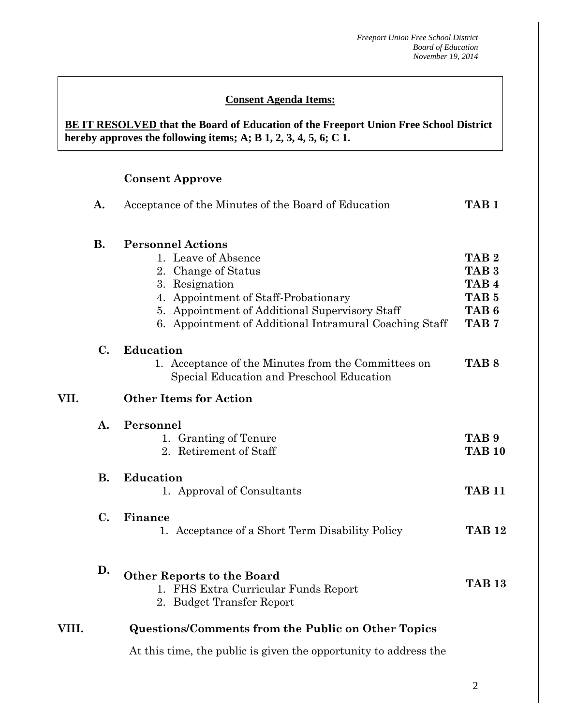#### **Consent Agenda Items:**

#### **BE IT RESOLVED that the Board of Education of the Freeport Union Free School District hereby approves the following items; A; B 1, 2, 3, 4, 5, 6; C 1.**

## **Consent Approve**

|       | A.             | Acceptance of the Minutes of the Board of Education                                                                                                                                                                                          | TAB <sub>1</sub>                                                                                                     |
|-------|----------------|----------------------------------------------------------------------------------------------------------------------------------------------------------------------------------------------------------------------------------------------|----------------------------------------------------------------------------------------------------------------------|
|       | <b>B.</b>      | <b>Personnel Actions</b><br>1. Leave of Absence<br>2. Change of Status<br>3. Resignation<br>4. Appointment of Staff-Probationary<br>5. Appointment of Additional Supervisory Staff<br>6. Appointment of Additional Intramural Coaching Staff | TAB <sub>2</sub><br>TAB <sub>3</sub><br>TAB <sub>4</sub><br>TAB <sub>5</sub><br>TAB <sub>6</sub><br>TAB <sub>7</sub> |
|       | C.             | Education<br>1. Acceptance of the Minutes from the Committees on<br>Special Education and Preschool Education                                                                                                                                | TAB <sub>8</sub>                                                                                                     |
| VII.  |                | <b>Other Items for Action</b>                                                                                                                                                                                                                |                                                                                                                      |
|       | $\mathbf{A}$ . | Personnel<br>1. Granting of Tenure<br>2. Retirement of Staff                                                                                                                                                                                 | TAB <sub>9</sub><br><b>TAB 10</b>                                                                                    |
|       | <b>B.</b>      | <b>Education</b><br>1. Approval of Consultants                                                                                                                                                                                               | <b>TAB 11</b>                                                                                                        |
|       | $\mathbf{C}$ . | Finance<br>1. Acceptance of a Short Term Disability Policy                                                                                                                                                                                   | <b>TAB 12</b>                                                                                                        |
|       | D.             | <b>Other Reports to the Board</b><br>1. FHS Extra Curricular Funds Report<br>2. Budget Transfer Report                                                                                                                                       | <b>TAB 13</b>                                                                                                        |
| VIII. |                | <b>Questions/Comments from the Public on Other Topics</b>                                                                                                                                                                                    |                                                                                                                      |

At this time, the public is given the opportunity to address the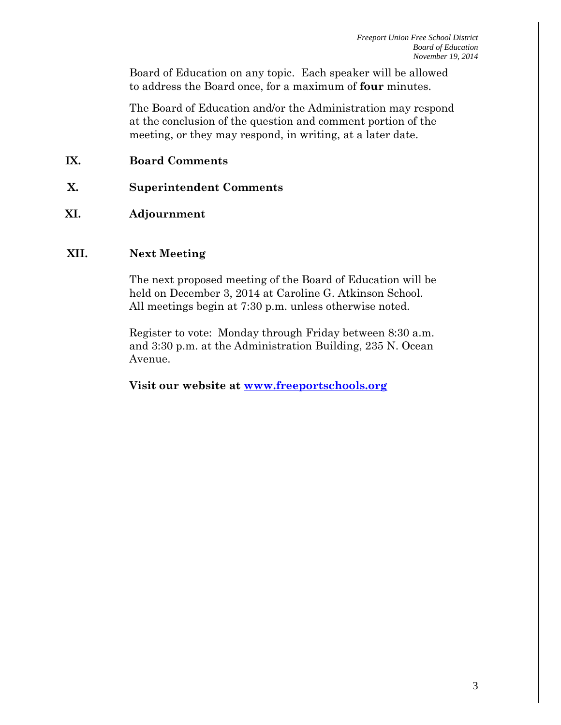Board of Education on any topic. Each speaker will be allowed to address the Board once, for a maximum of **four** minutes.

The Board of Education and/or the Administration may respond at the conclusion of the question and comment portion of the meeting, or they may respond, in writing, at a later date.

## **IX. Board Comments**

- **X. Superintendent Comments**
- **XI. Adjournment**

#### **XII. Next Meeting**

The next proposed meeting of the Board of Education will be held on December 3, 2014 at Caroline G. Atkinson School. All meetings begin at 7:30 p.m. unless otherwise noted.

Register to vote: Monday through Friday between 8:30 a.m. and 3:30 p.m. at the Administration Building, 235 N. Ocean Avenue.

**Visit our website at [www.freeportschools.org](http://www.freeportschools.org/)**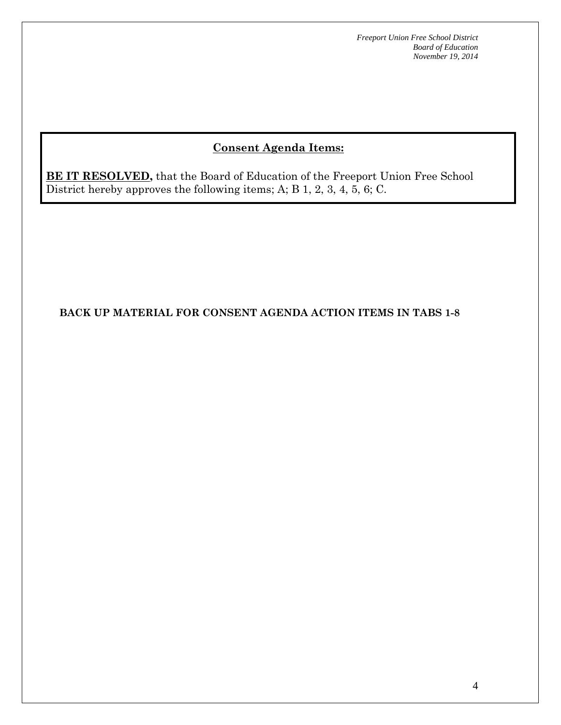# **Consent Agenda Items:**

**BE IT RESOLVED,** that the Board of Education of the Freeport Union Free School District hereby approves the following items; A; B 1, 2, 3, 4, 5, 6; C.

#### **BACK UP MATERIAL FOR CONSENT AGENDA ACTION ITEMS IN TABS 1-8**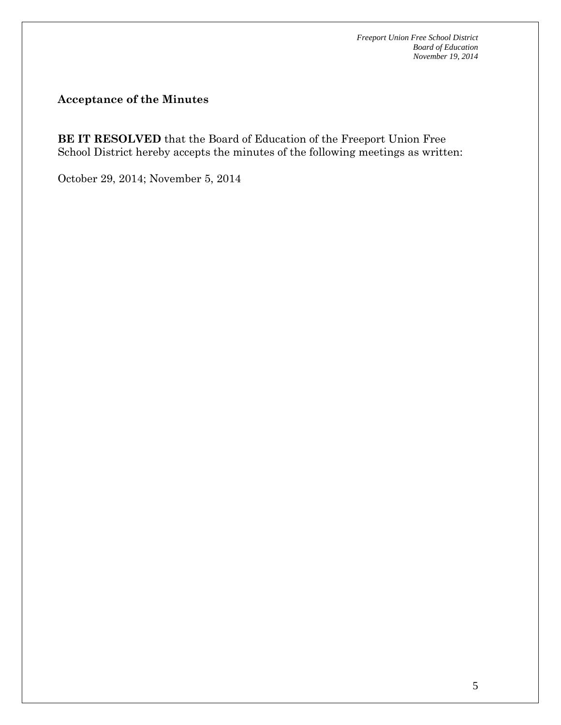#### **Acceptance of the Minutes**

**BE IT RESOLVED** that the Board of Education of the Freeport Union Free School District hereby accepts the minutes of the following meetings as written:

October 29, 2014; November 5, 2014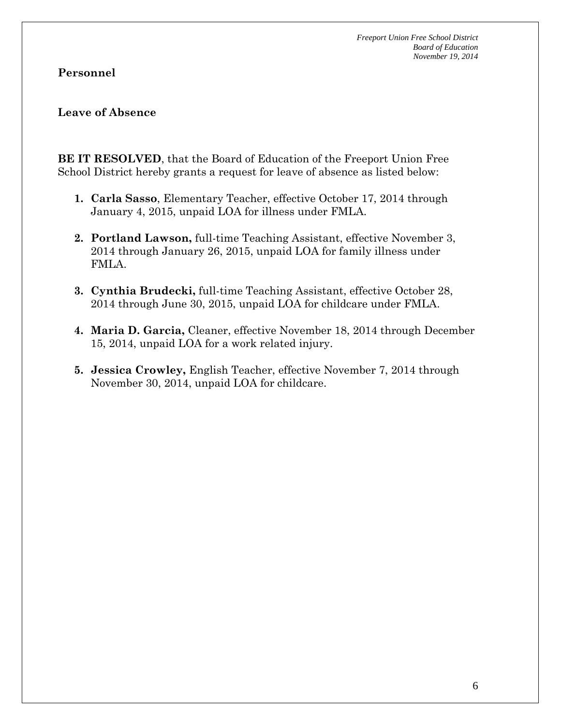#### **Personnel**

#### **Leave of Absence**

**BE IT RESOLVED**, that the Board of Education of the Freeport Union Free School District hereby grants a request for leave of absence as listed below:

- **1. Carla Sasso**, Elementary Teacher, effective October 17, 2014 through January 4, 2015, unpaid LOA for illness under FMLA.
- **2. Portland Lawson,** full-time Teaching Assistant, effective November 3, 2014 through January 26, 2015, unpaid LOA for family illness under FMLA.
- **3. Cynthia Brudecki,** full-time Teaching Assistant, effective October 28, 2014 through June 30, 2015, unpaid LOA for childcare under FMLA.
- **4. Maria D. Garcia,** Cleaner, effective November 18, 2014 through December 15, 2014, unpaid LOA for a work related injury.
- **5. Jessica Crowley,** English Teacher, effective November 7, 2014 through November 30, 2014, unpaid LOA for childcare.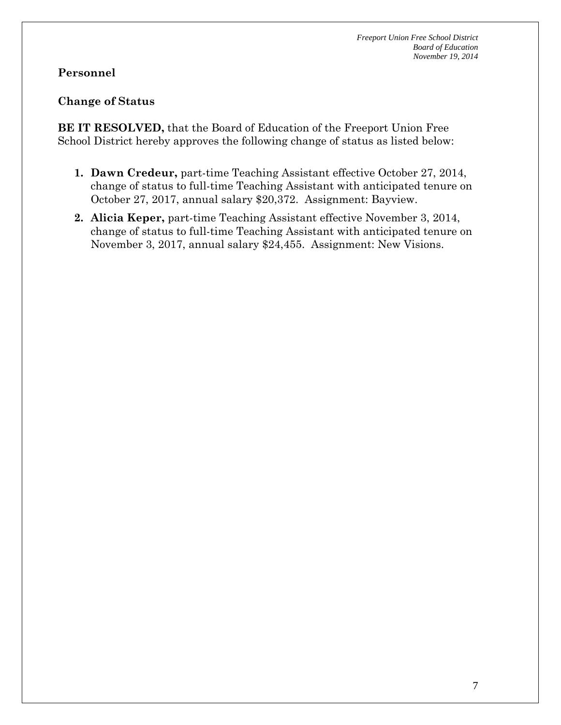## **Personnel**

## **Change of Status**

**BE IT RESOLVED,** that the Board of Education of the Freeport Union Free School District hereby approves the following change of status as listed below:

- **1. Dawn Credeur,** part-time Teaching Assistant effective October 27, 2014, change of status to full-time Teaching Assistant with anticipated tenure on October 27, 2017, annual salary \$20,372. Assignment: Bayview.
- **2. Alicia Keper,** part-time Teaching Assistant effective November 3, 2014, change of status to full-time Teaching Assistant with anticipated tenure on November 3, 2017, annual salary \$24,455. Assignment: New Visions.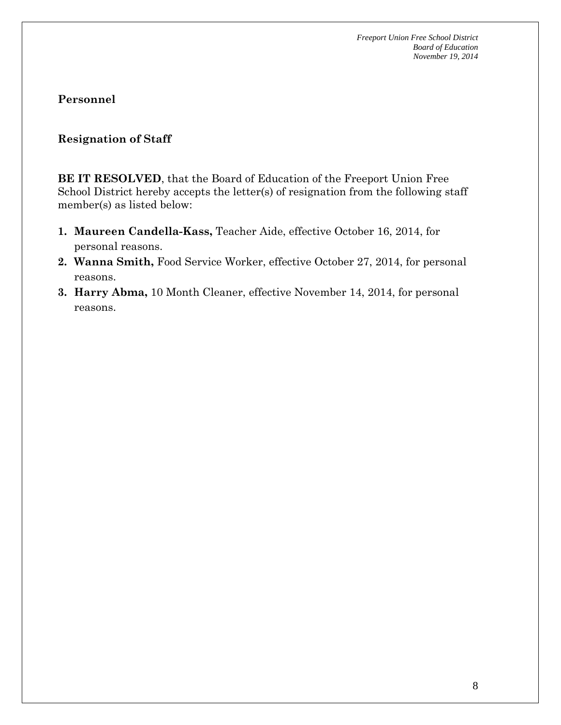#### **Resignation of Staff**

**BE IT RESOLVED**, that the Board of Education of the Freeport Union Free School District hereby accepts the letter(s) of resignation from the following staff member(s) as listed below:

- **1. Maureen Candella-Kass,** Teacher Aide, effective October 16, 2014, for personal reasons.
- **2. Wanna Smith,** Food Service Worker, effective October 27, 2014, for personal reasons.
- **3. Harry Abma,** 10 Month Cleaner, effective November 14, 2014, for personal reasons.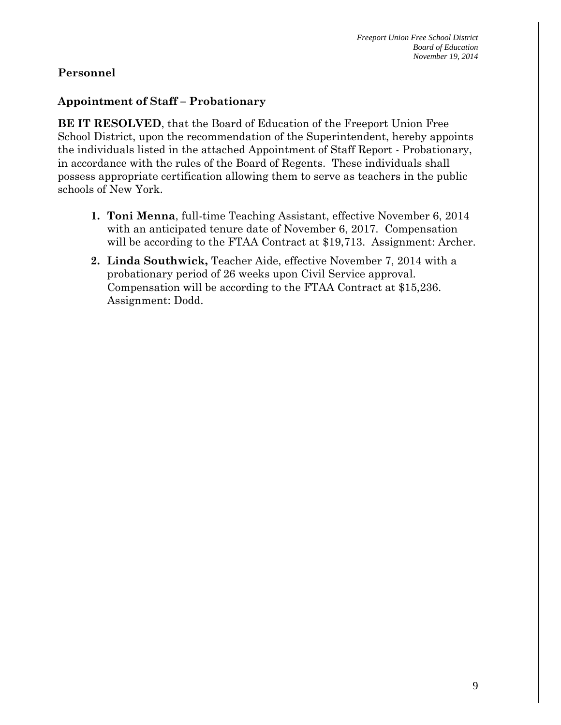#### **Appointment of Staff – Probationary**

**BE IT RESOLVED**, that the Board of Education of the Freeport Union Free School District, upon the recommendation of the Superintendent, hereby appoints the individuals listed in the attached Appointment of Staff Report - Probationary, in accordance with the rules of the Board of Regents. These individuals shall possess appropriate certification allowing them to serve as teachers in the public schools of New York.

- **1. Toni Menna**, full-time Teaching Assistant, effective November 6, 2014 with an anticipated tenure date of November 6, 2017. Compensation will be according to the FTAA Contract at \$19,713. Assignment: Archer.
- **2. Linda Southwick,** Teacher Aide, effective November 7, 2014 with a probationary period of 26 weeks upon Civil Service approval. Compensation will be according to the FTAA Contract at \$15,236. Assignment: Dodd.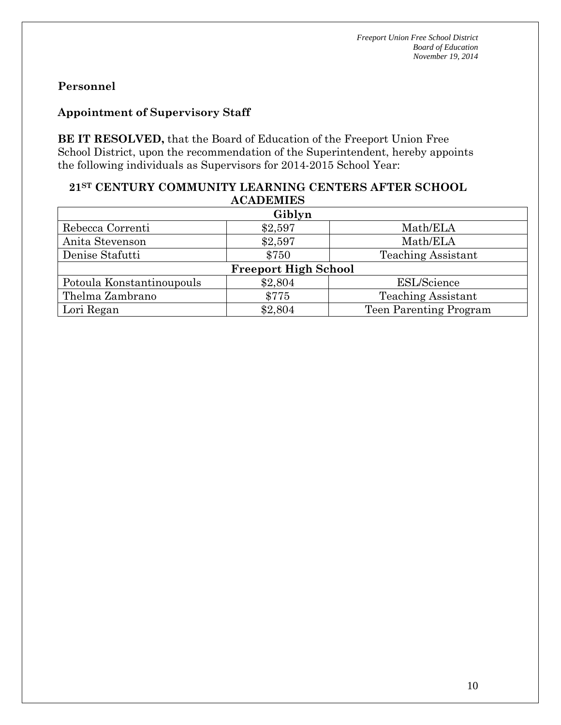## **Appointment of Supervisory Staff**

**BE IT RESOLVED,** that the Board of Education of the Freeport Union Free School District, upon the recommendation of the Superintendent, hereby appoints the following individuals as Supervisors for 2014-2015 School Year:

#### **21ST CENTURY COMMUNITY LEARNING CENTERS AFTER SCHOOL ACADEMIES**

| Giblyn                      |         |                           |  |  |
|-----------------------------|---------|---------------------------|--|--|
| Rebecca Correnti            | \$2,597 | Math/ELA                  |  |  |
| Anita Stevenson             | \$2,597 | Math/ELA                  |  |  |
| Denise Stafutti             | \$750   | <b>Teaching Assistant</b> |  |  |
| <b>Freeport High School</b> |         |                           |  |  |
| Potoula Konstantinoupouls   | \$2,804 | <b>ESL/Science</b>        |  |  |
| Thelma Zambrano             | \$775   | <b>Teaching Assistant</b> |  |  |
| Lori Regan                  | \$2,804 | Teen Parenting Program    |  |  |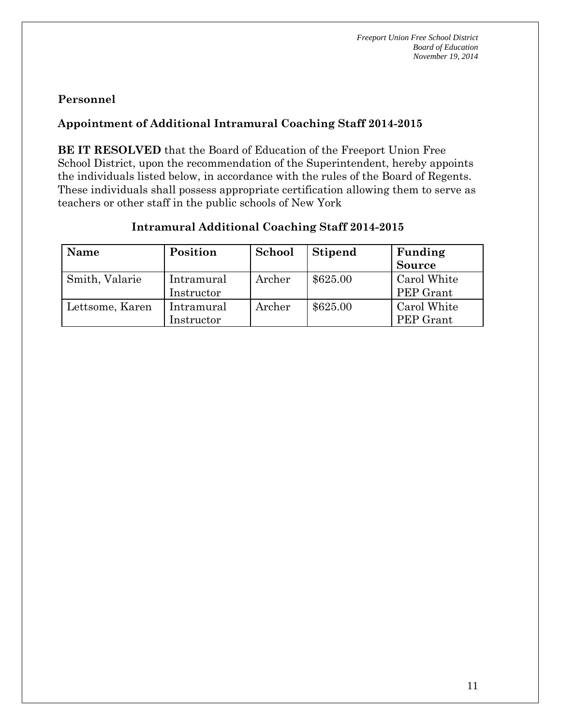## **Appointment of Additional Intramural Coaching Staff 2014-2015**

**BE IT RESOLVED** that the Board of Education of the Freeport Union Free School District, upon the recommendation of the Superintendent, hereby appoints the individuals listed below, in accordance with the rules of the Board of Regents. These individuals shall possess appropriate certification allowing them to serve as teachers or other staff in the public schools of New York

| Name            | Position                 | School | <b>Stipend</b> | Funding                  |
|-----------------|--------------------------|--------|----------------|--------------------------|
|                 |                          |        |                | <b>Source</b>            |
| Smith, Valarie  | Intramural<br>Instructor | Archer | \$625.00       | Carol White<br>PEP Grant |
| Lettsome, Karen | Intramural<br>Instructor | Archer | \$625.00       | Carol White<br>PEP Grant |

#### **Intramural Additional Coaching Staff 2014-2015**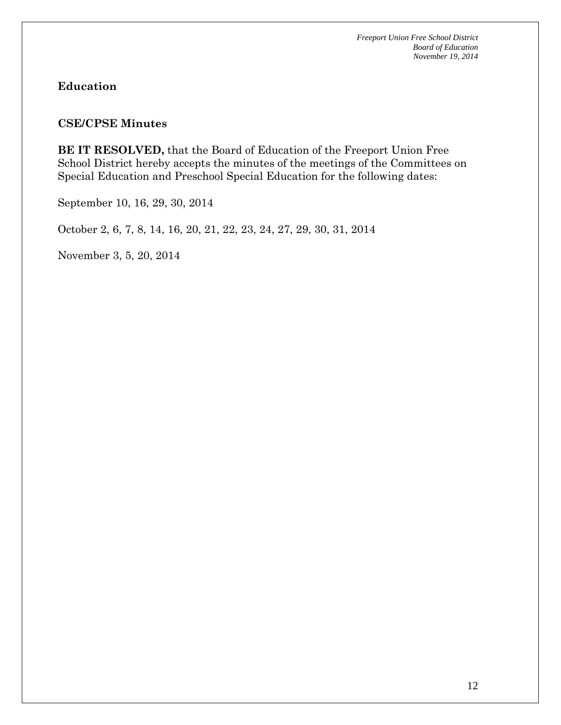#### **Education**

#### **CSE/CPSE Minutes**

**BE IT RESOLVED,** that the Board of Education of the Freeport Union Free School District hereby accepts the minutes of the meetings of the Committees on Special Education and Preschool Special Education for the following dates:

September 10, 16, 29, 30, 2014

October 2, 6, 7, 8, 14, 16, 20, 21, 22, 23, 24, 27, 29, 30, 31, 2014

November 3, 5, 20, 2014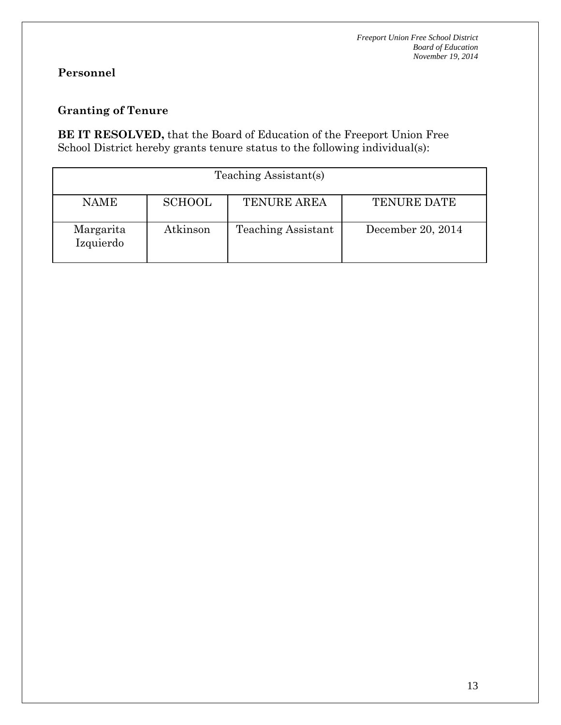# **Granting of Tenure**

**BE IT RESOLVED,** that the Board of Education of the Freeport Union Free School District hereby grants tenure status to the following individual(s):

| Teaching Assistant(s)  |               |                           |                    |  |  |
|------------------------|---------------|---------------------------|--------------------|--|--|
| <b>NAME</b>            | <b>SCHOOL</b> | <b>TENURE AREA</b>        | <b>TENURE DATE</b> |  |  |
| Margarita<br>Izquierdo | Atkinson      | <b>Teaching Assistant</b> | December 20, 2014  |  |  |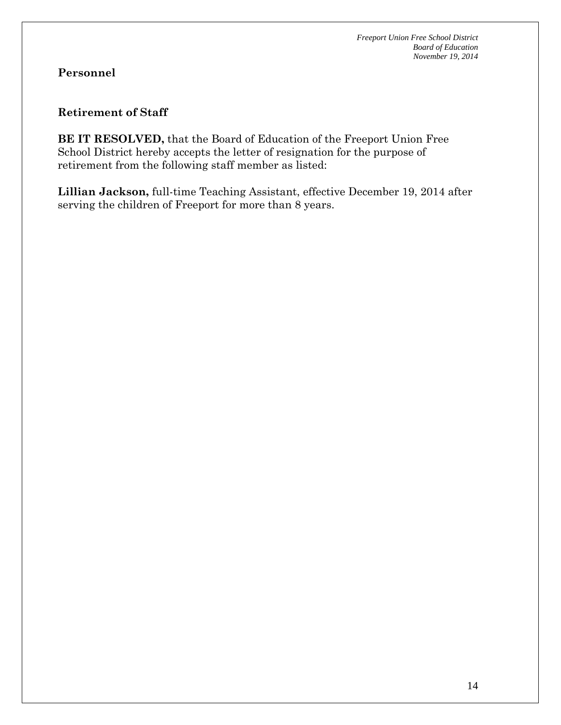#### **Retirement of Staff**

**BE IT RESOLVED,** that the Board of Education of the Freeport Union Free School District hereby accepts the letter of resignation for the purpose of retirement from the following staff member as listed:

**Lillian Jackson,** full-time Teaching Assistant, effective December 19, 2014 after serving the children of Freeport for more than 8 years.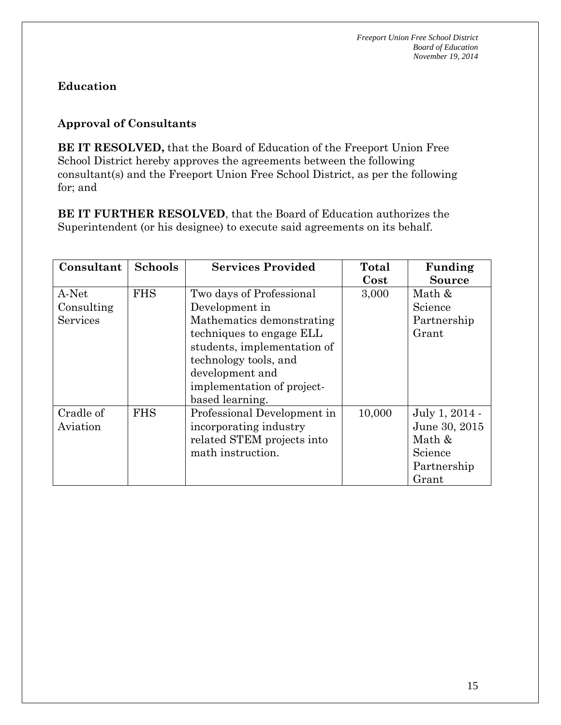# **Education**

## **Approval of Consultants**

**BE IT RESOLVED,** that the Board of Education of the Freeport Union Free School District hereby approves the agreements between the following consultant(s) and the Freeport Union Free School District, as per the following for; and

**BE IT FURTHER RESOLVED**, that the Board of Education authorizes the Superintendent (or his designee) to execute said agreements on its behalf.

| Consultant | <b>Schools</b> | <b>Services Provided</b>    | Total    | Funding        |
|------------|----------------|-----------------------------|----------|----------------|
|            |                |                             | $\cos t$ | <b>Source</b>  |
| A-Net      | <b>FHS</b>     | Two days of Professional    | 3,000    | Math &         |
| Consulting |                | Development in              |          | Science        |
| Services   |                | Mathematics demonstrating   |          | Partnership    |
|            |                | techniques to engage ELL    |          | Grant          |
|            |                | students, implementation of |          |                |
|            |                | technology tools, and       |          |                |
|            |                | development and             |          |                |
|            |                | implementation of project-  |          |                |
|            |                | based learning.             |          |                |
| Cradle of  | <b>FHS</b>     | Professional Development in | 10,000   | July 1, 2014 - |
| Aviation   |                | incorporating industry      |          | June 30, 2015  |
|            |                | related STEM projects into  |          | Math &         |
|            |                | math instruction.           |          | Science        |
|            |                |                             |          | Partnership    |
|            |                |                             |          | Grant          |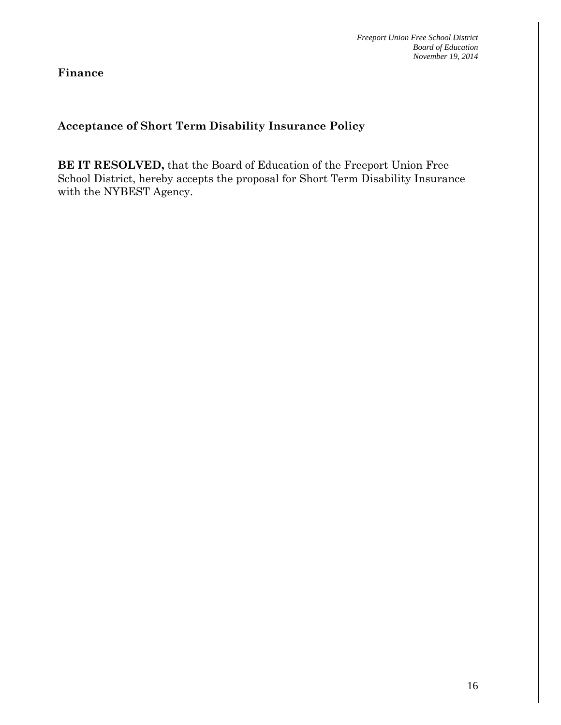**Finance**

## **Acceptance of Short Term Disability Insurance Policy**

**BE IT RESOLVED,** that the Board of Education of the Freeport Union Free School District, hereby accepts the proposal for Short Term Disability Insurance with the NYBEST Agency.